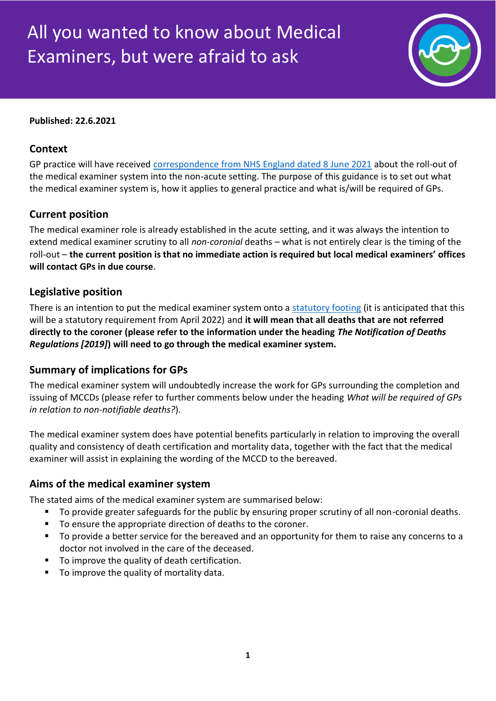# All you wanted to know about Medical Examiners, but were afraid to ask



#### **Published: 22.6.2021**

## **Context**

GP practice will have received [correspondence from NHS England dated 8 June 2021](https://www.england.nhs.uk/publication/system-letter-extending-medical-examiner-scrutiny-to-non-acute-settings/) about the roll-out of the medical examiner system into the non-acute setting. The purpose of this guidance is to set out what the medical examiner system is, how it applies to general practice and what is/will be required of GPs.

### **Current position**

The medical examiner role is already established in the acute setting, and it was always the intention to extend medical examiner scrutiny to all *non-coronial* deaths – what is not entirely clear is the timing of the roll-out – **the current position is that no immediate action is required but local medical examiners' offices will contact GPs in due course**.

#### **Legislative position**

There is an intention to put the medical examiner system onto a [statutory footing](https://assets.publishing.service.gov.uk/government/uploads/system/uploads/attachment_data/file/960548/integration-and-innovation-working-together-to-improve-health-and-social-care-for-all-web-version.pdf) (it is anticipated that this will be a statutory requirement from April 2022) and **it will mean that all deaths that are not referred directly to the coroner (please refer to the information under the heading** *The Notification of Deaths Regulations [2019]***) will need to go through the medical examiner system.**

#### **Summary of implications for GPs**

The medical examiner system will undoubtedly increase the work for GPs surrounding the completion and issuing of MCCDs (please refer to further comments below under the heading *What will be required of GPs in relation to non-notifiable deaths?*).

The medical examiner system does have potential benefits particularly in relation to improving the overall quality and consistency of death certification and mortality data, together with the fact that the medical examiner will assist in explaining the wording of the MCCD to the bereaved.

#### **Aims of the medical examiner system**

The stated aims of the medical examiner system are summarised below:

- To provide greater safeguards for the public by ensuring proper scrutiny of all non-coronial deaths.
- To ensure the appropriate direction of deaths to the coroner.
- To provide a better service for the bereaved and an opportunity for them to raise any concerns to a doctor not involved in the care of the deceased.
- To improve the quality of death certification.
- To improve the quality of mortality data.